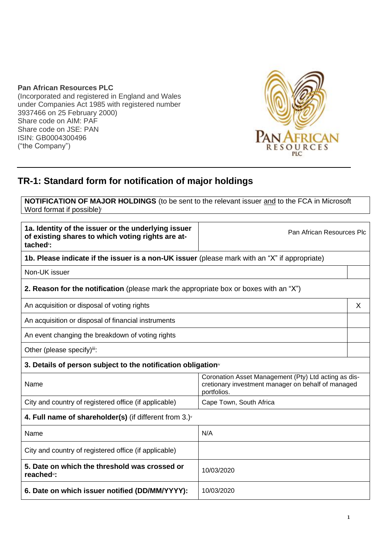### **Pan African Resources PLC**

(Incorporated and registered in England and Wales under Companies Act 1985 with registered number 3937466 on 25 February 2000) Share code on AIM: PAF Share code on JSE: PAN ISIN: GB0004300496 ("the Company")



# **TR-1: Standard form for notification of major holdings**

**NOTIFICATION OF MAJOR HOLDINGS** (to be sent to the relevant issuer and to the FCA in Microsoft Word format if possible)

| 1a. Identity of the issuer or the underlying issuer<br>of existing shares to which voting rights are at-<br>tached <sup>"</sup> : | Pan African Resources Plc                                                                                                 |   |
|-----------------------------------------------------------------------------------------------------------------------------------|---------------------------------------------------------------------------------------------------------------------------|---|
| 1b. Please indicate if the issuer is a non-UK issuer (please mark with an "X" if appropriate)                                     |                                                                                                                           |   |
| Non-UK issuer                                                                                                                     |                                                                                                                           |   |
| 2. Reason for the notification (please mark the appropriate box or boxes with an "X")                                             |                                                                                                                           |   |
| An acquisition or disposal of voting rights                                                                                       |                                                                                                                           | X |
| An acquisition or disposal of financial instruments                                                                               |                                                                                                                           |   |
| An event changing the breakdown of voting rights                                                                                  |                                                                                                                           |   |
| Other (please specify)iii:                                                                                                        |                                                                                                                           |   |
| 3. Details of person subject to the notification obligation $\mathbf{w}$                                                          |                                                                                                                           |   |
| Name                                                                                                                              | Coronation Asset Management (Pty) Ltd acting as dis-<br>cretionary investment manager on behalf of managed<br>portfolios. |   |
| City and country of registered office (if applicable)                                                                             | Cape Town, South Africa                                                                                                   |   |
| 4. Full name of shareholder(s) (if different from $3.$ ) $\sqrt{ }$                                                               |                                                                                                                           |   |
| Name                                                                                                                              | N/A                                                                                                                       |   |
| City and country of registered office (if applicable)                                                                             |                                                                                                                           |   |
| 5. Date on which the threshold was crossed or<br>reached <sup>vi</sup> :                                                          | 10/03/2020                                                                                                                |   |
| 6. Date on which issuer notified (DD/MM/YYYY):                                                                                    | 10/03/2020                                                                                                                |   |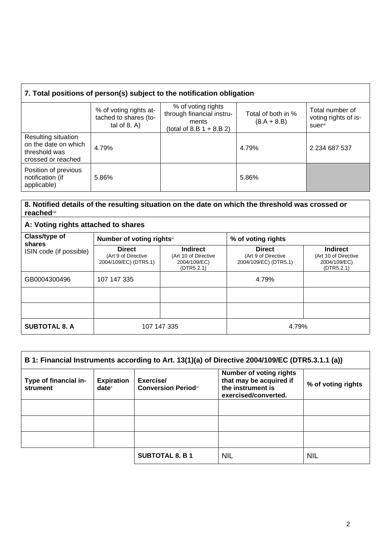| 7. Total positions of person(s) subject to the notification obligation             |                                                                    |                                                                                         |                                     |                                                                       |
|------------------------------------------------------------------------------------|--------------------------------------------------------------------|-----------------------------------------------------------------------------------------|-------------------------------------|-----------------------------------------------------------------------|
|                                                                                    | % of voting rights at-<br>tached to shares (to-<br>tal of $8. A$ ) | % of voting rights<br>through financial instru-<br>ments<br>(total of 8.B $1 + 8.B 2$ ) | Total of both in %<br>$(8.A + 8.B)$ | Total number of<br>voting rights of is-<br><b>suer</b> <sup>vii</sup> |
| Resulting situation<br>on the date on which<br>threshold was<br>crossed or reached | 4.79%                                                              |                                                                                         | 4.79%                               | 2 2 3 4 6 8 7 5 3 7                                                   |
| Position of previous<br>notification (if<br>applicable)                            | 5.86%                                                              |                                                                                         | 5.86%                               |                                                                       |

#### **8. Notified details of the resulting situation on the date on which the threshold was crossed or reached**viii

#### **A: Voting rights attached to shares Class/type of shares** ISIN code (if possible) **Number of voting rights**  $%$  of voting rights **Direct** (Art 9 of Directive 2004/109/EC) (DTR5.1) **Indirect** (Art 10 of Directive 2004/109/EC) (DTR5.2.1) **Direct** (Art 9 of Directive 2004/109/EC) (DTR5.1) **Indirect** (Art 10 of Directive 2004/109/EC) (DTR5.2.1) GB0004300496 107 147 335 4.79% **SUBTOTAL 8. A**  $\left| \right|$  107 147 335  $\left| \right|$  4.79%

| B 1: Financial Instruments according to Art. 13(1)(a) of Directive 2004/109/EC (DTR5.3.1.1 (a)) |                               |                                         |                                                                                                        |                    |
|-------------------------------------------------------------------------------------------------|-------------------------------|-----------------------------------------|--------------------------------------------------------------------------------------------------------|--------------------|
| Type of financial in-<br>strument                                                               | <b>Expiration</b><br>$date^x$ | Exercise/<br><b>Conversion Periodxi</b> | <b>Number of voting rights</b><br>that may be acquired if<br>the instrument is<br>exercised/converted. | % of voting rights |
|                                                                                                 |                               |                                         |                                                                                                        |                    |
|                                                                                                 |                               |                                         |                                                                                                        |                    |
|                                                                                                 |                               |                                         |                                                                                                        |                    |
|                                                                                                 |                               | <b>SUBTOTAL 8. B 1</b>                  | <b>NIL</b>                                                                                             | <b>NIL</b>         |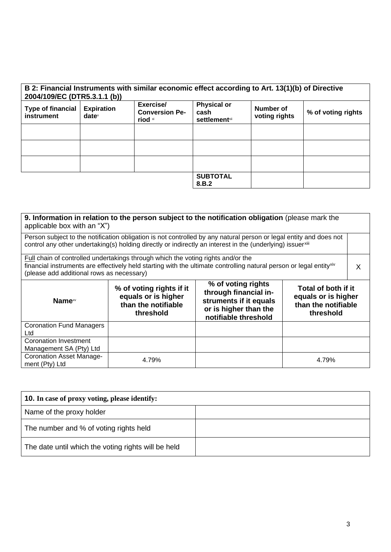| B 2: Financial Instruments with similar economic effect according to Art. 13(1)(b) of Directive |                               |                                               |                                                     |                            |                    |
|-------------------------------------------------------------------------------------------------|-------------------------------|-----------------------------------------------|-----------------------------------------------------|----------------------------|--------------------|
| 2004/109/EC (DTR5.3.1.1 (b))                                                                    |                               |                                               |                                                     |                            |                    |
| <b>Type of financial</b><br>instrument                                                          | <b>Expiration</b><br>$date^x$ | Exercise/<br><b>Conversion Pe-</b><br>riod xi | <b>Physical or</b><br>cash<br><b>settlement</b> xii | Number of<br>voting rights | % of voting rights |
|                                                                                                 |                               |                                               |                                                     |                            |                    |
|                                                                                                 |                               |                                               |                                                     |                            |                    |
|                                                                                                 |                               |                                               |                                                     |                            |                    |
|                                                                                                 |                               |                                               | <b>SUBTOTAL</b><br>8.B.2                            |                            |                    |

| 9. Information in relation to the person subject to the notification obligation (please mark the<br>applicable box with an "X")                                                                                                                                  |                                                                                     |                                                                                                                        |                                                                                |   |
|------------------------------------------------------------------------------------------------------------------------------------------------------------------------------------------------------------------------------------------------------------------|-------------------------------------------------------------------------------------|------------------------------------------------------------------------------------------------------------------------|--------------------------------------------------------------------------------|---|
| Person subject to the notification obligation is not controlled by any natural person or legal entity and does not<br>control any other undertaking(s) holding directly or indirectly an interest in the (underlying) issuerxili                                 |                                                                                     |                                                                                                                        |                                                                                |   |
| Full chain of controlled undertakings through which the voting rights and/or the<br>financial instruments are effectively held starting with the ultimate controlling natural person or legal entity <sup>xiv</sup><br>(please add additional rows as necessary) |                                                                                     |                                                                                                                        |                                                                                | X |
| Name <sup>xv</sup>                                                                                                                                                                                                                                               | % of voting rights if it<br>equals or is higher<br>than the notifiable<br>threshold | % of voting rights<br>through financial in-<br>struments if it equals<br>or is higher than the<br>notifiable threshold | Total of both if it<br>equals or is higher<br>than the notifiable<br>threshold |   |
| <b>Coronation Fund Managers</b><br>Ltd                                                                                                                                                                                                                           |                                                                                     |                                                                                                                        |                                                                                |   |
| Coronation Investment<br>Management SA (Pty) Ltd                                                                                                                                                                                                                 |                                                                                     |                                                                                                                        |                                                                                |   |
| <b>Coronation Asset Manage-</b><br>ment (Pty) Ltd                                                                                                                                                                                                                | 4.79%                                                                               |                                                                                                                        | 4.79%                                                                          |   |

| <b>10.</b> In case of proxy voting, please identify: |  |
|------------------------------------------------------|--|
| Name of the proxy holder                             |  |
| The number and % of voting rights held               |  |
| The date until which the voting rights will be held  |  |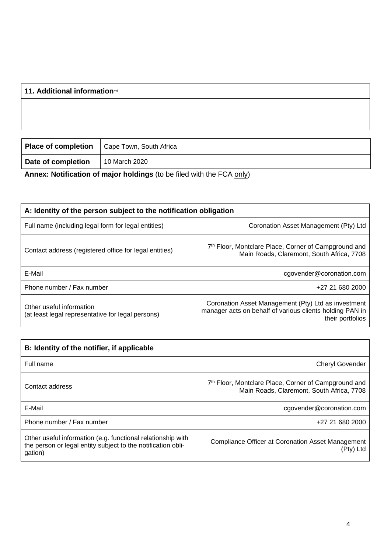| 11. Additional informationxvi |                         |  |
|-------------------------------|-------------------------|--|
|                               |                         |  |
|                               |                         |  |
|                               |                         |  |
| <b>Place of completion</b>    | Cape Town, South Africa |  |
| Date of completion            | 10 March 2020           |  |

**Annex: Notification of major holdings** (to be filed with the FCA only)

| A: Identity of the person subject to the notification obligation              |                                                                                                                                     |  |
|-------------------------------------------------------------------------------|-------------------------------------------------------------------------------------------------------------------------------------|--|
| Full name (including legal form for legal entities)                           | Coronation Asset Management (Pty) Ltd                                                                                               |  |
| Contact address (registered office for legal entities)                        | 7 <sup>th</sup> Floor, Montclare Place, Corner of Campground and<br>Main Roads, Claremont, South Africa, 7708                       |  |
| E-Mail                                                                        | cgovender@coronation.com                                                                                                            |  |
| Phone number / Fax number                                                     | +27 21 680 2000                                                                                                                     |  |
| Other useful information<br>(at least legal representative for legal persons) | Coronation Asset Management (Pty) Ltd as investment<br>manager acts on behalf of various clients holding PAN in<br>their portfolios |  |

| B: Identity of the notifier, if applicable                                                                                             |                                                                                                               |
|----------------------------------------------------------------------------------------------------------------------------------------|---------------------------------------------------------------------------------------------------------------|
| Full name                                                                                                                              | <b>Cheryl Govender</b>                                                                                        |
| Contact address                                                                                                                        | 7 <sup>th</sup> Floor, Montclare Place, Corner of Campground and<br>Main Roads, Claremont, South Africa, 7708 |
| E-Mail                                                                                                                                 | cgovender@coronation.com                                                                                      |
| Phone number / Fax number                                                                                                              | +27 21 680 2000                                                                                               |
| Other useful information (e.g. functional relationship with<br>the person or legal entity subject to the notification obli-<br>gation) | Compliance Officer at Coronation Asset Management<br>(Pty) Ltd                                                |